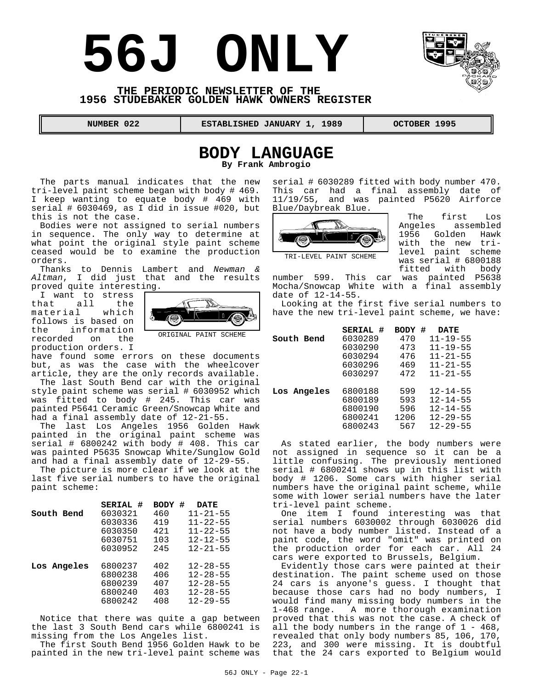# **56J ONLY**



#### **THE PERIODIC NEWSLETTER OF THE 1956 STUDEBAKER GOLDEN HAWK OWNERS REGISTER**

**NUMBER 022 ESTABLISHED JANUARY 1, 1989 OCTOBER 1995** 

# **BODY LANGUAGE**

**By Frank Ambrogio**

The parts manual indicates that the new tri-level paint scheme began with body # 469. I keep wanting to equate body # 469 with serial # 6030469, as I did in issue #020, but this is not the case.

Bodies were not assigned to serial numbers in sequence. The only way to determine at what point the original style paint scheme ceased would be to examine the production orders.

Thanks to Dennis Lambert and *Newman & Altman*, I did just that and the results proved quite interesting.

I want to stress that all the<br>material which material follows is based on the information recorded on the production orders. I



ORIGINAL PAINT SCHEME

have found some errors on these documents but, as was the case with the wheelcover article, they are the only records available.

The last South Bend car with the original style paint scheme was serial # 6030952 which was fitted to body # 245. This car was painted P5641 Ceramic Green/Snowcap White and had a final assembly date of  $12-2\overline{1}-55$ .

The last Los Angeles 1956 Golden Hawk painted in the original paint scheme was serial # 6800242 with body # 408. This car was painted P5635 Snowcap White/Sunglow Gold and had a final assembly date of 12-29-55.

The picture is more clear if we look at the last five serial numbers to have the original paint scheme:

|             | SERIAL # | #<br><b>BODY</b> | <b>DATE</b>    |
|-------------|----------|------------------|----------------|
| South Bend  | 6030321  | 460              | $11 - 21 - 55$ |
|             | 6030336  | 419              | $11 - 22 - 55$ |
|             | 6030350  | 421              | $11 - 22 - 55$ |
|             | 6030751  | 103              | $12 - 12 - 55$ |
|             | 6030952  | 245              | $12 - 21 - 55$ |
|             |          |                  |                |
| Los Angeles | 6800237  | 402              | $12 - 28 - 55$ |
|             | 6800238  | 406              | $12 - 28 - 55$ |
|             | 6800239  | 407              | $12 - 28 - 55$ |
|             | 6800240  | 403              | $12 - 28 - 55$ |
|             | 6800242  | 408              | $12 - 29 - 55$ |

Notice that there was quite a gap between the last 3 South Bend cars while 6800241 is missing from the Los Angeles list.

The first South Bend 1956 Golden Hawk to be painted in the new tri-level paint scheme was serial # 6030289 fitted with body number 470. This car had a final assembly date of 11/19/55, and was painted P5620 Airforce Blue/Daybreak Blue.



The first Los<br>Angeles assembled assembled 1956 Golden Hawk with the new trilevel paint scheme was serial # 6800188 fitted with body

number 599. This car was painted P5638 Mocha/Snowcap White with a final assembly date of  $12 - 14 - 55$ .

Looking at the first five serial numbers to have the new tri-level paint scheme, we have:

|             | SERIAL # | #<br>BODY | <b>DATE</b>    |
|-------------|----------|-----------|----------------|
| South Bend  | 6030289  | 470       | $11 - 19 - 55$ |
|             | 6030290  | 473       | $11 - 19 - 55$ |
|             | 6030294  | 476       | $11 - 21 - 55$ |
|             | 6030296  | 469       | $11 - 21 - 55$ |
|             | 6030297  | 472       | $11 - 21 - 55$ |
|             |          |           |                |
| Los Angeles | 6800188  | 599       | $12 - 14 - 55$ |
|             | 6800189  | 593       | $12 - 14 - 55$ |
|             | 6800190  | 596       | $12 - 14 - 55$ |
|             | 6800241  | 1206      | $12 - 29 - 55$ |
|             | 6800243  | 567       | $12 - 29 - 55$ |
|             |          |           |                |

As stated earlier, the body numbers were not assigned in sequence so it can be a little confusing. The previously mentioned serial # 6800241 shows up in this list with body # 1206. Some cars with higher serial numbers have the original paint scheme, while some with lower serial numbers have the later tri-level paint scheme.

One item I found interesting was that serial numbers 6030002 through 6030026 did not have a body number listed. Instead of a paint code, the word "omit" was printed on the production order for each car. All 24 cars were exported to Brussels, Belgium.

Evidently those cars were painted at their destination. The paint scheme used on those 24 cars is anyone's guess. I thought that because those cars had no body numbers, I would find many missing body numbers in the 1-468 range. A more thorough examination proved that this was not the case. A check of all the body numbers in the range of  $1 - 468$ , revealed that only body numbers 85, 106, 170, 223, and 300 were missing. It is doubtful that the 24 cars exported to Belgium would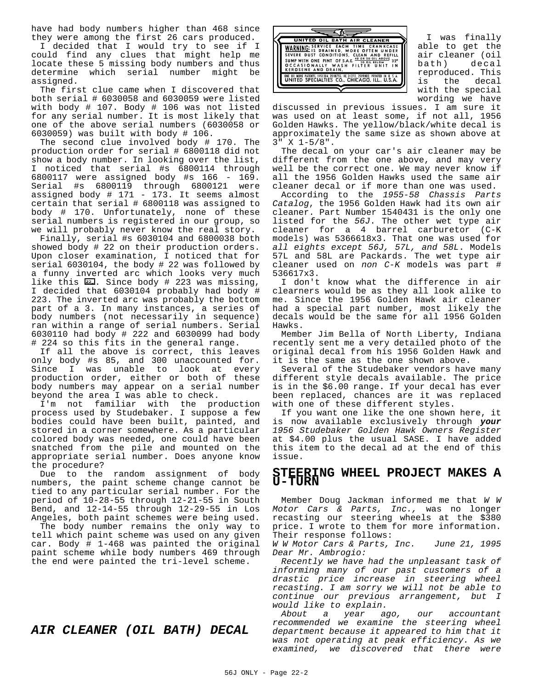have had body numbers higher than 468 since they were among the first 26 cars produced.

I decided that I would try to see if I could find any clues that might help me locate these 5 missing body numbers and thus determine which serial number might be assigned.

The first clue came when I discovered that both serial # 6030058 and 6030059 were listed with body # 107. Body # 106 was not listed for any serial number. It is most likely that one of the above serial numbers (6030058 or 6030059) was built with body # 106.

The second clue involved body # 170. The production order for serial # 6800118 did not show a body number. In looking over the list, I noticed that serial #s 6800114 through 6800117 were assigned body #s 166 - 169. Serial #s 6800119 through 6800121 were assigned body # 171 - 173. It seems almost certain that serial # 6800118 was assigned to body # 170. Unfortunately, none of these serial numbers is registered in our group, so we will probably never know the real story.

Finally, serial #s 6030104 and 6800038 both showed body # 22 on their production orders. Upon closer examination, I noticed that for serial 6030104, the body # 22 was followed by a funny inverted arc which looks very much like this  $\overline{22}$ . Since body # 223 was missing, I decided that 6030104 probably had body # 223. The inverted arc was probably the bottom part of a 3. In many instances, a series of body numbers (not necessarily in sequence) ran within a range of serial numbers. Serial 6030110 had body # 222 and 6030099 had body # 224 so this fits in the general range.

If all the above is correct, this leaves only body #s 85, and 300 unaccounted for. Since I was unable to look at every production order, either or both of these body numbers may appear on a serial number beyond the area I was able to check.

I'm not familiar with the production process used by Studebaker. I suppose a few bodies could have been built, painted, and stored in a corner somewhere. As a particular colored body was needed, one could have been snatched from the pile and mounted on the appropriate serial number. Does anyone know the procedure?

Due to the random assignment of body numbers, the paint scheme change cannot be tied to any particular serial number. For the period of 10-28-55 through 12-21-55 in South Bend, and 12-14-55 through 12-29-55 in Los Angeles, both paint schemes were being used.

The body number remains the only way to tell which paint scheme was used on any given car. Body # 1-468 was painted the original paint scheme while body numbers 469 through the end were painted the tri-level scheme.

## *AIR CLEANER (OIL BATH) DECAL*



I was finally able to get the air cleaner (oil bath) decal reproduced. This is the decal with the special wording we have

discussed in previous issues. I am sure it was used on at least some, if not all, 1956 Golden Hawks. The yellow/black/white decal is approximately the same size as shown above at  $3" X 1-5/8".$ 

The decal on your car's air cleaner may be different from the one above, and may very well be the correct one. We may never know if all the 1956 Golden Hawks used the same air cleaner decal or if more than one was used.

According to the *1955-58 Chassis Parts Catalog*, the 1956 Golden Hawk had its own air cleaner. Part Number 1540431 is the only one listed for the *56J*. The other wet type air cleaner for a 4 barrel carburetor (C-K models) was 5366618x3. That one was used for *all eights except 56J, 57L, and 58L*. Models 57L and 58L are Packards. The wet type air cleaner used on *non C-K* models was part # 536617x3.

I don't know what the difference in air clearners would be as they all look alike to me. Since the 1956 Golden Hawk air cleaner had a special part number, most likely the decals would be the same for all 1956 Golden Hawks.

Member Jim Bella of North Liberty, Indiana recently sent me a very detailed photo of the original decal from his 1956 Golden Hawk and it is the same as the one shown above.

Several of the Studebaker vendors have many different style decals available. The price is in the \$6.00 range. If your decal has ever been replaced, chances are it was replaced with one of these different styles.

If you want one like the one shown here, it is now available exclusively through *your 1956 Studebaker Golden Hawk Owners Register* at \$4.00 plus the usual SASE. I have added this item to the decal ad at the end of this issue.

#### **STEERING WHEEL PROJECT MAKES A U-TURN**

Member Doug Jackman informed me that *W W Motor Cars & Parts, Inc.,* was no longer recasting our steering wheels at the \$380 price. I wrote to them for more information. Their response follows:

*W W Motor Cars & Parts, Inc. June 21, 1995 Dear Mr. Ambrogio:*

*Recently we have had the unpleasant task of informing many of our past customers of a drastic price increase in steering wheel recasting. I am sorry we will not be able to continue our previous arrangement, but I*

*would like to explain. About a year ago, our accountant recommended we examine the steering wheel department because it appeared to him that it was not operating at peak efficiency. As we examined, we discovered that there were*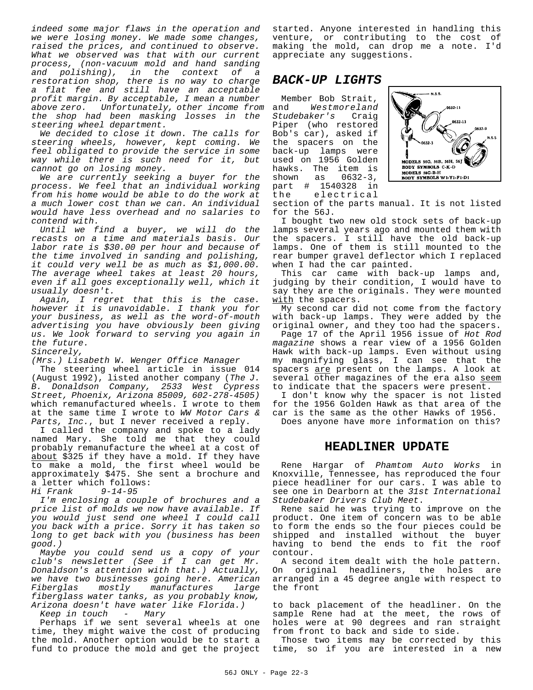*indeed some major flaws in the operation and we were losing money. We made some changes, raised the prices, and continued to observe. What we observed was that with our current process, (non-vacuum mold and hand sanding and polishing), in the context of a restoration shop, there is no way to charge a flat fee and still have an acceptable profit margin. By acceptable, I mean a number above zero. Unfortunately, other income from the shop had been masking losses in the steering wheel department.*

*We decided to close it down. The calls for steering wheels, however, kept coming. We feel obligated to provide the service in some way while there is such need for it, but cannot go on losing money.*

*We are currently seeking a buyer for the process. We feel that an individual working from his home would be able to do the work at a much lower cost than we can. An individual would have less overhead and no salaries to contend with.*

*Until we find a buyer, we will do the recasts on a time and materials basis. Our labor rate is \$30.00 per hour and because of the time involved in sanding and polishing, it could very well be as much as \$1,000.00. The average wheel takes at least 20 hours, even if all goes exceptionally well, which it usually doesn't.*

*Again, I regret that this is the case. however it is unavoidable. I thank you for your business, as well as the word-of-mouth advertising you have obviously been giving us. We look forward to serving you again in the future.*

*Sincerely,*

*(Mrs.) Lisabeth W. Wenger Office Manager* 

The steering wheel article in issue 014 (August 1992), listed another company (*The J. B. Donaldson Company, 2533 West Cypress Street, Phoenix, Arizona 85009, 602-278-4505)* which remanufactured wheels. I wrote to them at the same time I wrote to *WW Motor Cars &* Parts, Inc., but I never received a reply.

I called the company and spoke to a lady named Mary. She told me that they could probably remanufacture the wheel at a cost of about \$325 if they have a mold. If they have to make a mold, the first wheel would be approximately \$475. She sent a brochure and a letter which follows:

*Hi Frank 9-14-95*

*I'm enclosing a couple of brochures and a price list of molds we now have available. If you would just send one wheel I could call you back with a price. Sorry it has taken so long to get back with you (business has been good.)*

*Maybe you could send us a copy of your club's newsletter (See if I can get Mr. Donaldson's attention with that.) Actually, we have two businesses going here. American Fiberglas mostly manufactures large fiberglass water tanks, as you probably know, Arizona doesn't have water like Florida.)*

*Keep in touch - Mary*

Perhaps if we sent several wheels at one time, they might waive the cost of producing the mold. Another option would be to start a fund to produce the mold and get the project started. Anyone interested in handling this venture, or contributing to the cost of making the mold, can drop me a note. I'd appreciate any suggestions.

## *BACK-UP LIGHTS*

Member Bob Strait, and *Westmoreland Studebaker's* Craig Piper (who restored Bob's car), asked if the spacers on the back-up lamps were used on 1956 Golden hawks. The item is<br>shown as 0632-3, shown as 0632-3, part # 1540328 in electrical



section of the parts manual. It is not listed for the 56J.

I bought two new old stock sets of back-up lamps several years ago and mounted them with the spacers. I still have the old back-up lamps. One of them is still mounted to the rear bumper gravel deflector which I replaced when I had the car painted.

This car came with back-up lamps and, judging by their condition, I would have to say they are the originals. They were mounted with the spacers.

My second car did not come from the factory with back-up lamps. They were added by the original owner, and they too had the spacers.

Page 17 of the April 1956 issue of *Hot Rod magazine* shows a rear view of a 1956 Golden Hawk with back-up lamps. Even without using my magnifying glass, I can see that the spacers are present on the lamps. A look at several other magazines of the era also seem to indicate that the spacers were present.

I don't know why the spacer is not listed for the 1956 Golden Hawk as that area of the car is the same as the other Hawks of 1956.

Does anyone have more information on this?

#### **HEADLINER UPDATE**

Rene Hargar of *Phamtom Auto Works* in Knoxville, Tennessee, has reproduced the four piece headliner for our cars. I was able to see one in Dearborn at the *31st International Studebaker Drivers Club Meet*.

Rene said he was trying to improve on the product. One item of concern was to be able to form the ends so the four pieces could be shipped and installed without the buyer having to bend the ends to fit the roof contour.

A second item dealt with the hole pattern. On original headliners, the holes are arranged in a 45 degree angle with respect to the front

to back placement of the headliner. On the sample Rene had at the meet, the rows of holes were at 90 degrees and ran straight from front to back and side to side.

Those two items may be corrected by this time, so if you are interested in a new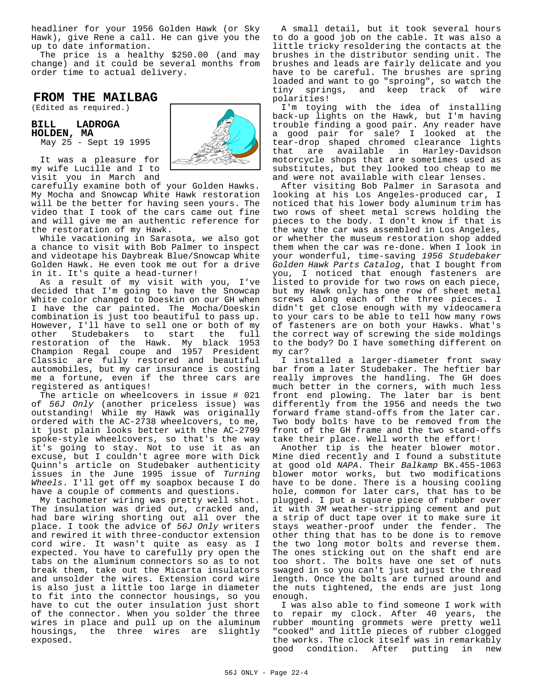headliner for your 1956 Golden Hawk (or Sky Hawk), give Rene a call. He can give you the up to date information.

The price is a healthy \$250.00 (and may change) and it could be several months from order time to actual delivery.

## **FROM THE MAILBAG**

(Edited as required.)

**BILL LADROGA HOLDEN, MA** May 25 - Sept 19 1995



It was a pleasure for my wife Lucille and I to visit you in March and

carefully examine both of your Golden Hawks. My Mocha and Snowcap White Hawk restoration will be the better for having seen yours. The video that I took of the cars came out fine and will give me an authentic reference for the restoration of my Hawk.

While vacationing in Sarasota, we also got a chance to visit with Bob Palmer to inspect and videotape his Daybreak Blue/Snowcap White Golden Hawk. He even took me out for a drive in it. It's quite a head-turner!

As a result of my visit with you, I've decided that I'm going to have the Snowcap White color changed to Doeskin on our GH when I have the car painted. The Mocha/Doeskin combination is just too beautiful to pass up. However, I'll have to sell one or both of my other Studebakers to start the full restoration of the Hawk. My black 1953 Champion Regal coupe and 1957 President Classic are fully restored and beautiful automobiles, but my car insurance is costing me a fortune, even if the three cars are registered as antiques!

The article on wheelcovers in issue # 021 of *56J Only* (another priceless issue) was outstanding! While my Hawk was originally ordered with the AC-2738 wheelcovers, to me, it just plain looks better with the AC-2799 spoke-style wheelcovers, so that's the way it's going to stay. Not to use it as an excuse, but I couldn't agree more with Dick Quinn's article on Studebaker authenticity issues in the June 1995 issue of *Turning Wheels*. I'll get off my soapbox because I do have a couple of comments and questions.

My tachometer wiring was pretty well shot. The insulation was dried out, cracked and, had bare wiring shorting out all over the place. I took the advice of *56J Only* writers and rewired it with three-conductor extension cord wire. It wasn't quite as easy as I expected. You have to carefully pry open the tabs on the aluminum connectors so as to not break them, take out the Micarta insulators and unsolder the wires. Extension cord wire is also just a little too large in diameter to fit into the connector housings, so you have to cut the outer insulation just short of the connector. When you solder the three wires in place and pull up on the aluminum housings, the three wires are slightly exposed.

A small detail, but it took several hours to do a good job on the cable. It was also a little tricky resoldering the contacts at the brushes in the distributor sending unit. The brushes and leads are fairly delicate and you have to be careful. The brushes are spring loaded and want to go "sproing", so watch the tiny springs, and keep track of wire polarities!

I'm toying with the idea of installing back-up lights on the Hawk, but I'm having trouble finding a good pair. Any reader have a good pair for sale? I looked at the tear-drop shaped chromed clearance lights that are available in Harley-Davidson motorcycle shops that are sometimes used as substitutes, but they looked too cheap to me and were not available with clear lenses.

After visiting Bob Palmer in Sarasota and looking at his Los Angeles-produced car, I noticed that his lower body aluminum trim has two rows of sheet metal screws holding the pieces to the body. I don't know if that is the way the car was assembled in Los Angeles, or whether the museum restoration shop added them when the car was re-done. When I look in your wonderful, time-saving *1956 Studebaker Golden Hawk Parts Catalog*, that I bought from you, I noticed that enough fasteners are listed to provide for two rows on each piece, but my Hawk only has one row of sheet metal screws along each of the three pieces. I didn't get close enough with my videocamera to your cars to be able to tell how many rows of fasteners are on both your Hawks. What's the correct way of screwing the side moldings to the body? Do I have something different on my car?

I installed a larger-diameter front sway bar from a later Studebaker. The heftier bar really improves the handling. The GH does much better in the corners, with much less front end plowing. The later bar is bent differently from the 1956 and needs the two forward frame stand-offs from the later car. Two body bolts have to be removed from the front of the GH frame and the two stand-offs take their place. Well worth the effort!

Another tip is the heater blower motor. Mine died recently and I found a substitute at good old *NAPA*. Their *Balkamp* BK.455-1063 blower motor works, but two modifications have to be done. There is a housing cooling hole, common for later cars, that has to be plugged. I put a square piece of rubber over it with *3M* weather-stripping cement and put a strip of duct tape over it to make sure it stays weather-proof under the fender. The other thing that has to be done is to remove the two long motor bolts and reverse them. The ones sticking out on the shaft end are too short. The bolts have one set of nuts swaged in so you can't just adjust the thread length. Once the bolts are turned around and the nuts tightened, the ends are just long enough.

I was also able to find someone I work with to repair my clock. After 40 years, the rubber mounting grommets were pretty well "cooked" and little pieces of rubber clogged the works. The clock itself was in remarkably good condition. After putting in new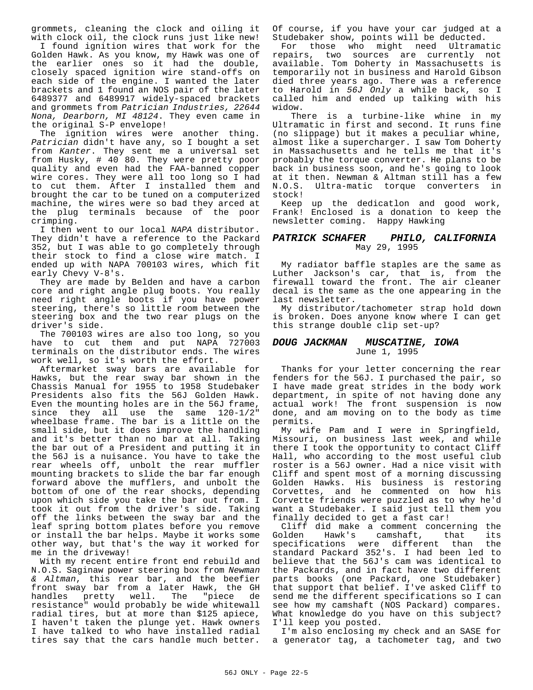grommets, cleaning the clock and oiling it with clock oil, the clock runs just like new!

I found ignition wires that work for the Golden Hawk. As you know, my Hawk was one of the earlier ones so it had the double, closely spaced ignition wire stand-offs on each side of the engine. I wanted the later brackets and 1 found an NOS pair of the later 6489377 and 6489917 widely-spaced brackets and grommets from *Patrician Industries, 22644 Nona, Dearborn, MI 48124*. They even came in the original S-P envelope!

The ignition wires were another thing. *Patrician* didn't have any, so I bought a set from *Kanter*. They sent me a universal set from Husky, # 40 80. They were pretty poor quality and even had the FAA-banned copper wire cores. They were all too long so I had to cut them. After I installed them and brought the car to be tuned on a computerized machine, the wires were so bad they arced at the plug terminals because of the poor crimping.

I then went to our local *NAPA* distributor. They didn't have a reference to the Packard 352, but I was able to go completely through their stock to find a close wire match. I ended up with NAPA 700103 wires, which fit early Chevy V-8's.

They are made by Belden and have a carbon core and right angle plug boots. You really need right angle boots if you have power steering, there's so little room between the steering box and the two rear plugs on the driver's side.

The 700103 wires are also too long, so you have to cut them and put NAPA 727003 terminals on the distributor ends. The wires work well, so it's worth the effort.

Aftermarket sway bars are available for Hawks, but the rear sway bar shown in the Chassis Manual for 1955 to 1958 Studebaker Presidents also fits the 56J Golden Hawk. Even the mounting holes are in the 56J frame, since they all use the same 120-1/2" wheelbase frame. The bar is a little on the small side, but it does improve the handling and it's better than no bar at all. Taking the bar out of a President and putting it in the 56J is a nuisance. You have to take the rear wheels off, unbolt the rear muffler mounting brackets to slide the bar far enough forward above the mufflers, and unbolt the bottom of one of the rear shocks, depending upon which side you take the bar out from. I took it out from the driver's side. Taking off the links between the sway bar and the leaf spring bottom plates before you remove or install the bar helps. Maybe it works some other way, but that's the way it worked for me in the driveway!

With my recent entire front end rebuild and N.O.S. Saginaw power steering box from *Newman & Altman*, this rear bar, and the beefier front sway bar from a later Hawk, the GH handles pretty well. The "piece de resistance" would probably be wide whitewall radial tires, but at more than \$125 apiece, I haven't taken the plunge yet. Hawk owners I have talked to who have installed radial tires say that the cars handle much better.

Of course, if you have your car judged at a Studebaker show, points will be deducted.

For those who might need Ultramatic repairs, two sources are currently not available. Tom Doherty in Massachusetts is temporarily not in business and Harold Gibson died three years ago. There was a reference to Harold in *56J Only* a while back, so I called him and ended up talking with his widow.

 There is a turbine-like whine in my Ultramatic in first and second. It runs fine (no slippage) but it makes a peculiar whine, almost like a supercharger. I saw Tom Doherty in Massachusetts and he tells me that it's probably the torque converter. He plans to be back in business soon, and he's going to look at it then. Newman & Altman still has a few Ultra-matic torque converters in stock!

Keep up the dedicatlon and good work, Frank! Enclosed is a donation to keep the newsletter coming. Happy Hawking

#### *PATRICK SCHAFER PHILO, CALIFORNIA* May 29, 1995

My radiator baffle staples are the same as Luther Jackson's car, that is, from the firewall toward the front. The air cleaner decal is the same as the one appearing in the last newsletter.

My distributor/tachometer strap hold down is broken. Does anyone know where I can get this strange double clip set-up?

#### *DOUG JACKMAN MUSCATINE, IOWA* June 1, 1995

Thanks for your letter concerning the rear fenders for the 56J. I purchased the pair, so I have made great strides in the body work department, in spite of not having done any actual work! The front suspension is now done, and am moving on to the body as time permits.

My wife Pam and I were in Springfield, Missouri, on business last week, and while there I took the opportunity to contact Cliff Hall, who according to the most useful club roster is a 56J owner. Had a nice visit with Cliff and spent most of a morning discussing Golden Hawks. His business is restoring Corvettes, and he commented on how his Corvette friends were puzzled as to why he'd want a Studebaker. I said just tell them you finally decided to get a fast car!

Cliff did make a comment concerning the<br>Golden Hawk's camshaft, that its camshaft, that its specifications were different than the standard Packard 352's. I had been led to believe that the 56J's cam was identical to the Packards, and in fact have two different parts books (one Packard, one Studebaker) that support that belief. I've asked Cliff to send me the different specifications so I can see how my camshaft (NOS Packard) compares. What knowledge do you have on this subject? I'll keep you posted.

I'm also enclosing my check and an SASE for a generator tag, a tachometer tag, and two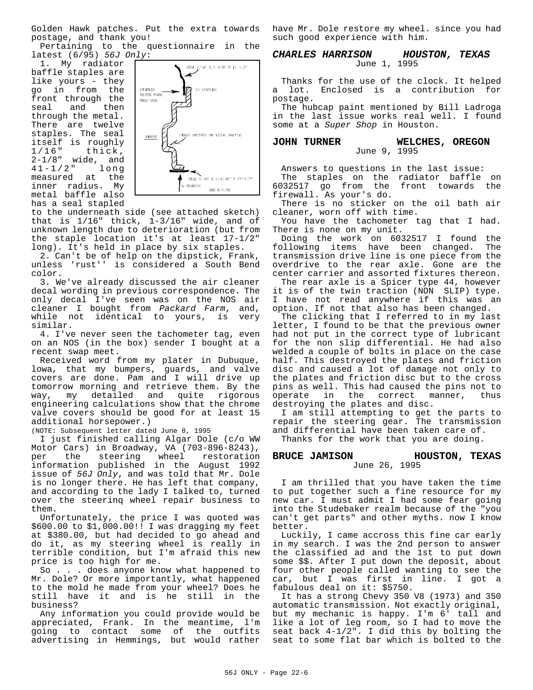Golden Hawk patches. Put the extra towards postage, and thank you!

Pertaining to the questionnaire in the latest (6/95) *56J Only*:

1. My radiator baffle staples are like yours - they go in from the front through the seal and then through the metal. There are twelve staples. The seal itself is roughly<br>1/16" thick, thick,  $2-1/8$ " wide, and<br> $41-1/2$ " long  $41 - 1 / 2$ measured at the inner radius. My metal baffle also has a seal stapled



to the underneath side (see attached sketch) that is 1/16" thick, 1-3/16" wide, and of unknown length due to deterioration (but from the staple location it's at least 17-1/2" long). It's held in place by six staples.

2. Can't be of help on the dipstick, Frank, unless 'rust'' is considered a South Bend color.

3. We've already discussed the air cleaner decal wording in previous correspondence. The only decal I've seen was on the NOS air cleaner I bought from *Packard Farm*, and, while not identical to yours, is very similar.

4. I've never seen the tachometer tag, even on an NOS (in the box) sender I bought at a recent swap meet.

Received word from my plater in Dubuque, lowa, that my bumpers, guards, and valve covers are done. Pam and I will drive up tomorrow morning and retrieve them. By the way, my detailed and quite rigorous engineering calculations show that the chrome valve covers should be good for at least 15 additional horsepower.)

(NOTE: Subsequent letter dated June 8, 1995

I just finished calling Algar Dole (c/o WW Motor Cars) in Broadway, VA (703-896-8243),<br>per the steering wheel restoration the steering wheel restoration information published in the August 1992 issue of *56J Only*, and was told that Mr. Dole is no longer there. He has left that company, and according to the lady I talked to, turned over the steerinq wheel repair business to them.

Unfortunately, the price I was quoted was \$600.00 to \$1,000.00!! I was dragging my feet at \$380.00, but had decided to go ahead and do it, as my steering wheel is really in terrible condition, but I'm afraid this new price is too high for me.

So . . . does anyone know what happened to Mr. Dole? Or more importantly, what happened to the mold he made from your wheel? Does he still have it and is he still in the business?

Any information you could provide would be appreciated, Frank. In the meantime, l'm going to contact some of the outfits advertising in Hemmings, but would rather have Mr. Dole restore my wheel. since you had such good experience with him.

#### *CHARLES HARRISON HOUSTON, TEXAS* June 1, 1995

Thanks for the use of the clock. It helped a lot. Enclosed is a contribution for postage.

The hubcap paint mentioned by Bill Ladroga in the last issue works real well. I found some at a *Super Shop* in Houston.

#### **JOHN TURNER WELCHES, OREGON** June 9, 1995

Answers to questions in the last issue: The staples on the radiator baffle on 6032517 go from the front towards the firewall. As your's do.

There is no sticker on the oil bath air cleaner, worn off with time.

You have the tachometer tag that I had. There is none on my unit.

Doing the work on 6032517 I found the following items have been changed. The transmission drive line is one piece from the overdrive to the rear axle. Gone are the center carrier and assorted fixtures thereon.

The rear axle is a Spicer type 44, however it is of the twin traction (NON SLIP) type. I have not read anywhere if this was an option. If not that also has been changed.

The clicking that I referred to in my last letter, I found to be that the previous owner had not put in the correct type of lubricant for the non slip differential. He had also welded a couple of bolts in place on the case half. This destroyed the plates and friction disc and caused a lot of damage not only to the plates and friction disc but to the cross pins as well. This had caused the pins not to operate in the correct manner, thus destroying the plates and disc.

I am still attempting to get the parts to repair the steering gear. The transmission and differential have been taken care of.

Thanks for the work that you are doing.

#### **BRUCE JAMISON HOUSTON, TEXAS** June 26, 1995

I am thrilled that you have taken the time to put together such a fine resource for my new car. I must admit I had some fear going into the Studebaker realm because of the "you can't get parts" and other myths. now I know better.

Luckily, I came accross this fine car early in my search. I was the 2nd person to answer the classified ad and the 1st to put down some \$\$. After I put down the deposit, about four other people called wanting to see the car, but I was first in line. I got a fabulous deal on it: \$5750.

It has a strong Chevy 350 V8 (1973) and 350 automatic transmission. Not exactly original, but my mechanic is happy. I'm 6' tall and like a lot of leg room, so I had to move the seat back  $4-1/2$ ". I did this by bolting the seat to some flat bar which is bolted to the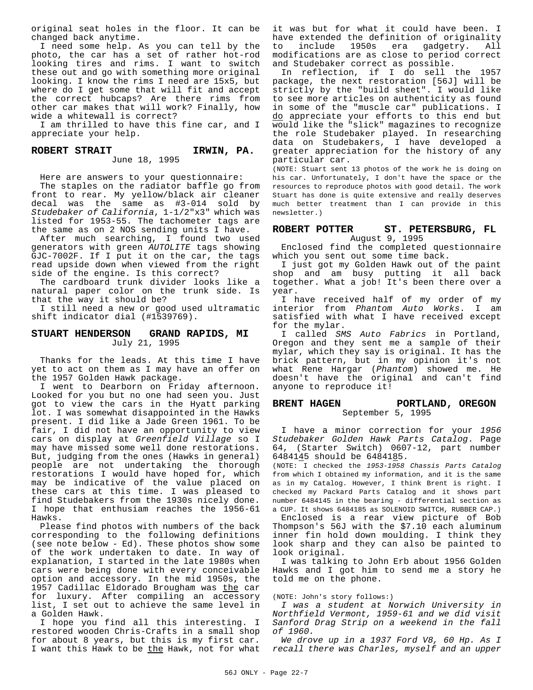original seat holes in the floor. It can be changed back anytime.

I need some help. As you can tell by the photo, the car has a set of rather hot-rod looking tires and rims. I want to switch these out and go with something more original looking. I know the rims I need are 15x5, but where do I get some that will fit and accept the correct hubcaps? Are there rims from other car makes that will work? Finally, how wide a whitewall is correct?

I am thrilled to have this fine car, and I appreciate your help.

#### ROBERT STRAIT **IRWIN, PA.** June 18, 1995

Here are answers to your questionnaire:

The staples on the radiator baffle go from front to rear. My yellow/black air cleaner decal was the same as #3-014 sold by *Studebaker of California*, 1-1/2"x3" which was listed for 1953-55. The tachometer tags are the same as on 2 NOS sending units I have.

After much searching, I found two used generators with green *AUTOLITE* tags showing GJC-7002F. If I put it on the car, the tags read upside down when viewed from the right side of the engine. Is this correct?

The cardboard trunk divider looks like a natural paper color on the trunk side. Is that the way it should be?

I still need a new or good used ultramatic shift indicator dial (#1539769).

#### **STUART HENDERSON GRAND RAPIDS, MI** July 21, 1995

Thanks for the leads. At this time I have yet to act on them as I may have an offer on the 1957 Golden Hawk package.

I went to Dearborn on Friday afternoon. Looked for you but no one had seen you. Just got to view the cars in the Hyatt parking lot. I was somewhat disappointed in the Hawks present. I did like a Jade Green 1961. To be fair, I did not have an opportunity to view cars on display at *Greenfield Village* so I may have missed some well done restorations. But, judging from the ones (Hawks in general) people are not undertaking the thorough restorations I would have hoped for, which may be indicative of the value placed on these cars at this time. I was pleased to find Studebakers from the 1930s nicely done. I hope that enthusiam reaches the 1956-61 Hawks.

Please find photos with numbers of the back corresponding to the following definitions (see note below - Ed). These photos show some of the work undertaken to date. In way of explanation, I started in the late 1980s when cars were being done with every conceivable option and accessory. In the mid 1950s, the 1957 Cadillac Eldorado Brougham was the car for luxury. After compiling an accessory list, I set out to achieve the same level in a Golden Hawk.

I hope you find all this interesting. I restored wooden Chris-Crafts in a small shop for about 8 years, but this is my first car. I want this Hawk to be the Hawk, not for what it was but for what it could have been. I have extended the definition of originality<br>to include 1950s era gadgetry, All include 1950s era gadgetry. All modifications are as close to period correct and Studebaker correct as possible.

In reflection, if I do sell the 1957 package, the next restoration [56J] will be strictly by the "build sheet". I would like to see more articles on authenticity as found in some of the "muscle car" publications. I do appreciate your efforts to this end but would like the "slick" magazines to recognize the role Studebaker played. In researching data on Studebakers, I have developed a greater appreciation for the history of any particular car.

(NOTE: Stuart sent 13 photos of the work he is doing on his car. Unfortunately, I don't have the space or the resources to reproduce photos with good detail. The work Stuart has done is quite extensive and really deserves much better treatment than I can provide in this newsletter.)

#### **ROBERT POTTER ST. PETERSBURG, FL** August 9, 1995

Enclosed find the completed questionnaire which you sent out some time back.

I just got my Golden Hawk out of the paint shop and am busy putting it all back together. What a job! It's been there over a year.

I have received half of my order of my interior from *Phantom Auto Works*. I am satisfied with what I have received except for the mylar.

I called *SMS Auto Fabrics* in Portland, Oregon and they sent me a sample of their mylar, which they say is original. It has the brick pattern, but in my opinion it's not what Rene Hargar (*Phantom*) showed me. He doesn't have the original and can't find anyone to reproduce it!

#### **BRENT HAGEN PORTLAND, OREGON** September 5, 1995

I have a minor correction for your *1956 Studebaker Golden Hawk Parts Catalog*. Page 64, (Starter Switch) 0607-12, part number 6484145 should be 6484185.

(NOTE: I checked the *1953-1958 Chassis Parts Catalog* from which I obtained my information, and it is the same as in my Catalog. However, I think Brent is right. I checked my Packard Parts Catalog and it shows part number 6484145 in the bearing - differential section as a CUP. It shows 6484185 as SOLENOID SWITCH, RUBBER CAP.)

Enclosed is a rear view picture of Bob Thompson's 56J with the \$7.10 each aluminum inner fin hold down moulding. I think they look sharp and they can also be painted to look original.

I was talking to John Erb about 1956 Golden Hawks and I got him to send me a story he told me on the phone.

#### (NOTE: John's story follows:)

*I was a student at Norwich University in Northfield Vermont, 1959-61 and we did visit Sanford Drag Strip on a weekend in the fall of 1960.*

*We drove up in a 1937 Ford V8, 60 Hp. As I recall there was Charles, myself and an upper*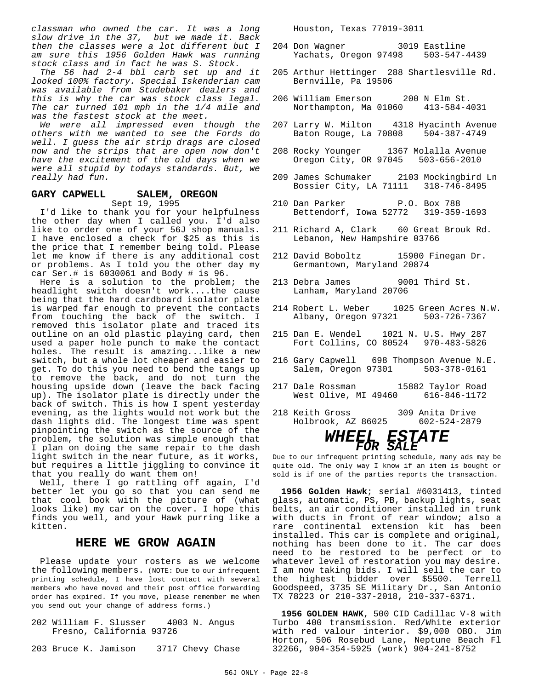*classman who owned the car. It was a long slow drive in the 37, but we made it. Back then the classes were a lot different but I am sure this 1956 Golden Hawk was running stock class and in fact he was S. Stock.*

*The 56 had 2-4 bbl carb set up and it looked 100% factory. Special Iskenderian cam was available from Studebaker dealers and this is why the car was stock class legal. The car turned 101 mph in the 1/4 mile and was the fastest stock at the meet.*

*We were all impressed even though the others with me wanted to see the Fords do well. I guess the air strip drags are closed now and the strips that are open now don't have the excitement of the old days when we were all stupid by todays standards. But, we really had fun.*

#### **GARY CAPWELL SALEM, OREGON** Sept 19, 1995

I'd like to thank you for your helpfulness the other day when I called you. I'd also like to order one of your 56J shop manuals. I have enclosed a check for \$25 as this is the price that I remember being told. Please let me know if there is any additional cost or problems. As I told you the other day my car Ser.# is 6030061 and Body # is 96.

Here is a solution to the problem; the headlight switch doesn't work....the cause being that the hard cardboard isolator plate is warped far enough to prevent the contacts from touching the back of the switch. I removed this isolator plate and traced its outline on an old plastic playing card, then used a paper hole punch to make the contact holes. The result is amazing...like a new switch, but a whole lot cheaper and easier to get. To do this you need to bend the tangs up to remove the back, and do not turn the housing upside down (leave the back facing up). The isolator plate is directly under the back of switch. This is how I spent yesterday evening, as the lights would not work but the dash lights did. The longest time was spent pinpointing the switch as the source of the problem, the solution was simple enough that I plan on doing the same repair to the dash light switch in the near future, as it works, but requires a little jiggling to convince it that you really do want them on!

Well, there I go rattling off again, I'd better let you go so that you can send me that cool book with the picture of (what looks like) my car on the cover. I hope this finds you well, and your Hawk purring like a kitten.

### **HERE WE GROW AGAIN**

Please update your rosters as we welcome the following members. (NOTE: Due to our infrequent printing schedule, I have lost contact with several members who have moved and their post office forwarding order has expired. If you move, please remember me when you send out your change of address forms.)

202 William F. Slusser 4003 N. Angus Fresno, California 93726

203 Bruce K. Jamison 3717 Chevy Chase

Houston, Texas 77019-3011

- 204 Don Wagner 3019 Eastline Yachats, Oregon 97498
- 205 Arthur Hettinger 288 Shartlesville Rd. Bernville, Pa 19506
- 206 William Emerson 200 N Elm St. Northampton, Ma 01060 413-584-4031
- 207 Larry W. Milton 4318 Hyacinth Avenue Baton Rouge, La 70808 504-387-4749
- 208 Rocky Younger 1367 Molalla Avenue Oregon City, OR 97045 503-656-2010
- 209 James Schumaker 2103 Mockingbird Ln Bossier City, LA 71111 318-746-8495
- 210 Dan Parker P.O. Box 788 Bettendorf, Iowa 52772 319-359-1693
- 211 Richard A, Clark 60 Great Brouk Rd. Lebanon, New Hampshire 03766
- 212 David Boboltz 15900 Finegan Dr. Germantown, Maryland 20874
- 213 Debra James 9001 Third St. Lanham, Maryland 20706
- 214 Robert L. Weber 1025 Green Acres N.W. Albany, Oregon 97321 503-726-7367
- 215 Dan E. Wendel 1021 N. U.S. Hwy 287 Fort Collins, CO 80524 970-483-5826
- 216 Gary Capwell 698 Thompson Avenue N.E. Salem, Oregon 97301
- 217 Dale Rossman 15882 Taylor Road West Olive, MI 49460 616-846-1172
- 218 Keith Gross 309 Anita Drive Holbrook, AZ 86025

## *WHEEL ESTATE FOR SALE*

Due to our infrequent printing schedule, many ads may be quite old. The only way I know if an item is bought or sold is if one of the parties reports the transaction.

**1956 Golden Hawk**; serial #6031413, tinted glass, automatic, PS, PB, backup lights, seat belts, an air conditioner installed in trunk with ducts in front of rear window; also a rare continental extension kit has been installed. This car is complete and original, nothing has been done to it. The car does need to be restored to be perfect or to whatever level of restoration you may desire. I am now taking bids. I will sell the car to the highest bidder over \$5500. Terrell Goodspeed, 3735 SE Military Dr., San Antonio TX 78223 or 210-337-2018, 210-337-6371.

**1956 GOLDEN HAWK**, 500 CID Cadillac V-8 with Turbo 400 transmission. Red/White exterior with red valour interior. \$9,000 OBO. Jim Horton, 506 Rosebud Lane, Neptune Beach Fl 32266, 904-354-5925 (work) 904-241-8752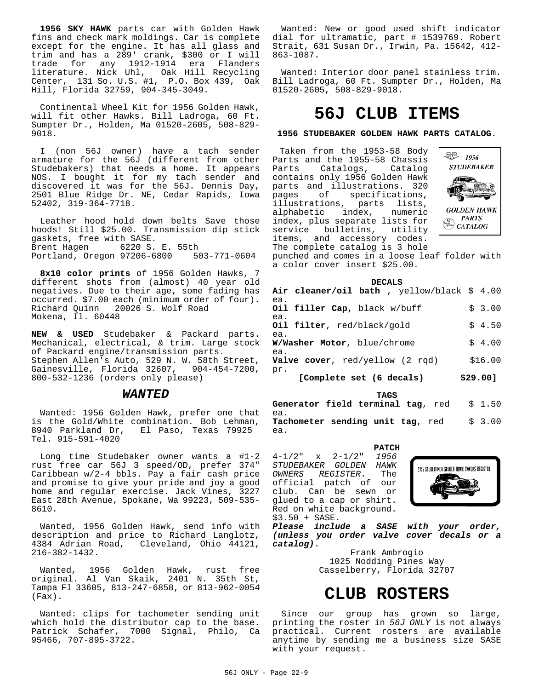**1956 SKY HAWK** parts car with Golden Hawk fins and check mark moldings. Car is complete except for the engine. It has all glass and trim and has a 289' crank, \$300 or I will<br>trade for any 1912-1914 era Flanders trade for any 1912-1914 era Flanders literature. Nick Uhl, Oak Hill Recycling Center, 131 So. U.S. #1, P.O. Box 439, Oak Hill, Florida 32759, 904-345-3049.

Continental Wheel Kit for 1956 Golden Hawk, will fit other Hawks. Bill Ladroga, 60 Ft. Sumpter Dr., Holden, Ma 01520-2605, 508-829- 9018.

I (non 56J owner) have a tach sender armature for the 56J (different from other Studebakers) that needs a home. It appears NOS. I bought it for my tach sender and discovered it was for the 56J. Dennis Day, 2501 Blue Ridge Dr. NE, Cedar Rapids, Iowa 52402, 319-364-7718.

Leather hood hold down belts Save those hoods! Still \$25.00. Transmission dip stick gaskets, free with SASE. Brent Hagen 6220 S. E. 55th Portland, Oregon 97206-6800

**8x10 color prints** of 1956 Golden Hawks, 7 different shots from (almost) 40 year old negatives. Due to their age, some fading has occurred. \$7.00 each (minimum order of four). Richard Quinn 20026 S. Wolf Road Mokena, Il. 60448

**NEW & USED** Studebaker & Packard parts. Mechanical, electrical, & trim. Large stock of Packard engine/transmission parts. Stephen Allen's Auto, 529 N. W. 58th Street, Gainesville, Florida 32607, 904-454-7200, 800-532-1236 (orders only please)

#### *WANTED*

Wanted: 1956 Golden Hawk, prefer one that is the Gold/White combination. Bob Lehman, 8940 Parkland Dr, El Paso, Texas 79925 Tel. 915-591-4020

Long time Studebaker owner wants a #1-2 rust free car 56J 3 speed/OD, prefer 374" Caribbean w/2-4 bbls. Pay a fair cash price and promise to give your pride and joy a good home and regular exercise. Jack Vines, 3227 East 28th Avenue, Spokane, Wa 99223, 509-535- 8610.

Wanted, 1956 Golden Hawk, send info with description and price to Richard Langlotz, 4384 Adrian Road, Cleveland, Ohio 44121, 216-382-1432.

Wanted, 1956 Golden Hawk, rust free original. Al Van Skaik, 2401 N. 35th St, Tampa Fl 33605, 813-247-6858, or 813-962-0054 (Fax).

Wanted: clips for tachometer sending unit which hold the distributor cap to the base. Patrick Schafer, 7000 Signal, Philo, Ca 95466, 707-895-3722.

Wanted: New or good used shift indicator dial for ultramatic, part # 1539769. Robert Strait, 631 Susan Dr., Irwin, Pa. 15642, 412- 863-1087.

Wanted: Interior door panel stainless trim. Bill Ladroga, 60 Ft. Sumpter Dr., Holden, Ma 01520-2605, 508-829-9018.

## **56J CLUB ITEMS**

#### **1956 STUDEBAKER GOLDEN HAWK PARTS CATALOG.**

 Taken from the 1953-58 Body Parts and the 1955-58 Chassis<br>Parts Catalogs, Catalog Parts Catalogs, contains only 1956 Golden Hawk parts and illustrations. 320<br>pages of specifications, specifications, illustrations, parts lists, alphabetic index, numeric index, plus separate lists for service bulletins, utility items, and accessory codes. The complete catalog is 3 hole



punched and comes in a loose leaf folder with a color cover insert \$25.00.

#### **DECALS**

| Air cleaner/oil bath , yellow/black \$ 4.00 |          |
|---------------------------------------------|----------|
| ea.<br>Oil filler Cap, black w/buff<br>ea.  | \$3.00   |
| Oil filter, red/black/gold                  | \$4.50   |
| ea.<br>W/Washer Motor, blue/chrome<br>ea.   | \$4.00   |
| <b>Valve cover</b> , red/yellow (2 rgd)     | \$16.00  |
| pr.<br>[Complete set (6 decals)             | \$29.00] |

**TAGS Generator field terminal tag**, red \$ 1.50 ea. **Tachometer sending unit tag**, red \$ 3.00 ea.

**PATCH** 4-1/2" x 2-1/2" *1956 STUDEBAKER GOLDEN HAWK OWNERS REGISTER*. The official patch of our club. Can be sewn or glued to a cap or shirt. Red on white background. \$3.50 + SASE.



*Please include a SASE with your order, (unless you order valve cover decals or a catalog)*.

> Frank Ambrogio 1025 Nodding Pines Way Casselberry, Florida 32707

# **CLUB ROSTERS**

Since our group has grown so large, printing the roster in *56J ONLY* is not always practical. Current rosters are available anytime by sending me a business size SASE with your request.